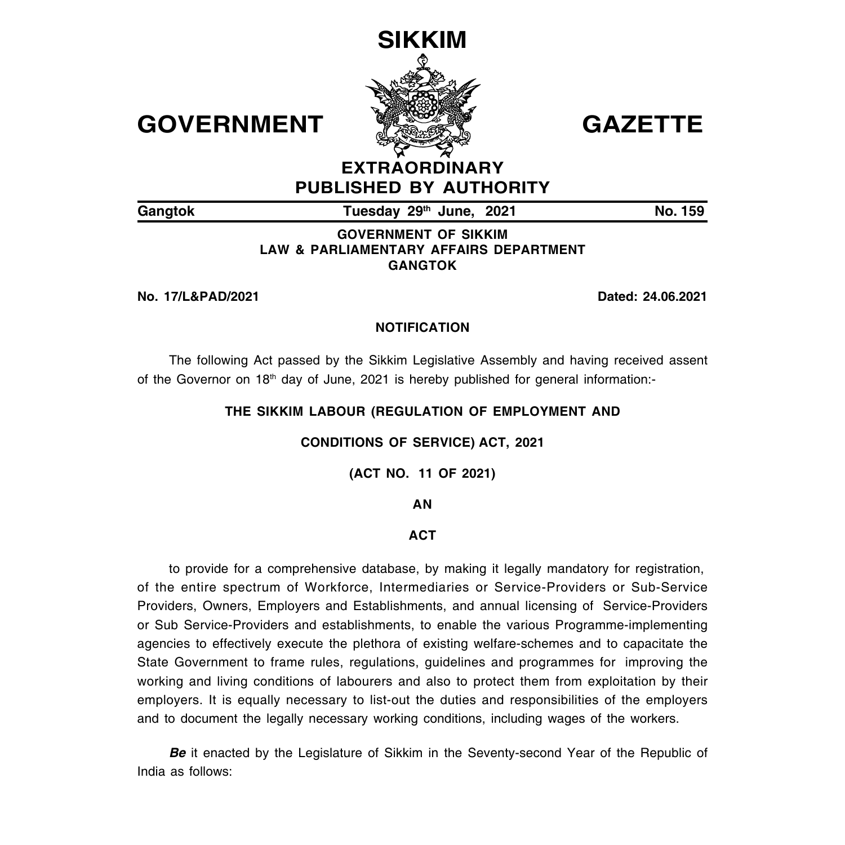

# **EXTRAORDINARY PUBLISHED BY AUTHORITY**

Gangtok **Tuesday 29<sup>th</sup> June, 2021 No. 159** 

# **GOVERNMENT OF SIKKIM LAW & PARLIAMENTARY AFFAIRS DEPARTMENT GANGTOK**

**No. 17/L&PAD/2021 Dated: 24.06.2021**

# **NOTIFICATION**

The following Act passed by the Sikkim Legislative Assembly and having received assent of the Governor on 18<sup>th</sup> day of June, 2021 is hereby published for general information:-

# **THE SIKKIM LABOUR (REGULATION OF EMPLOYMENT AND**

# **CONDITIONS OF SERVICE) ACT, 2021**

**(ACT NO. 11 OF 2021)**

# **AN**

# **ACT**

to provide for a comprehensive database, by making it legally mandatory for registration, of the entire spectrum of Workforce, Intermediaries or Service-Providers or Sub-Service Providers, Owners, Employers and Establishments, and annual licensing of Service-Providers or Sub Service-Providers and establishments, to enable the various Programme-implementing agencies to effectively execute the plethora of existing welfare-schemes and to capacitate the State Government to frame rules, regulations, guidelines and programmes for improving the working and living conditions of labourers and also to protect them from exploitation by their employers. It is equally necessary to list-out the duties and responsibilities of the employers and to document the legally necessary working conditions, including wages of the workers.

*Be* it enacted by the Legislature of Sikkim in the Seventy-second Year of the Republic of India as follows: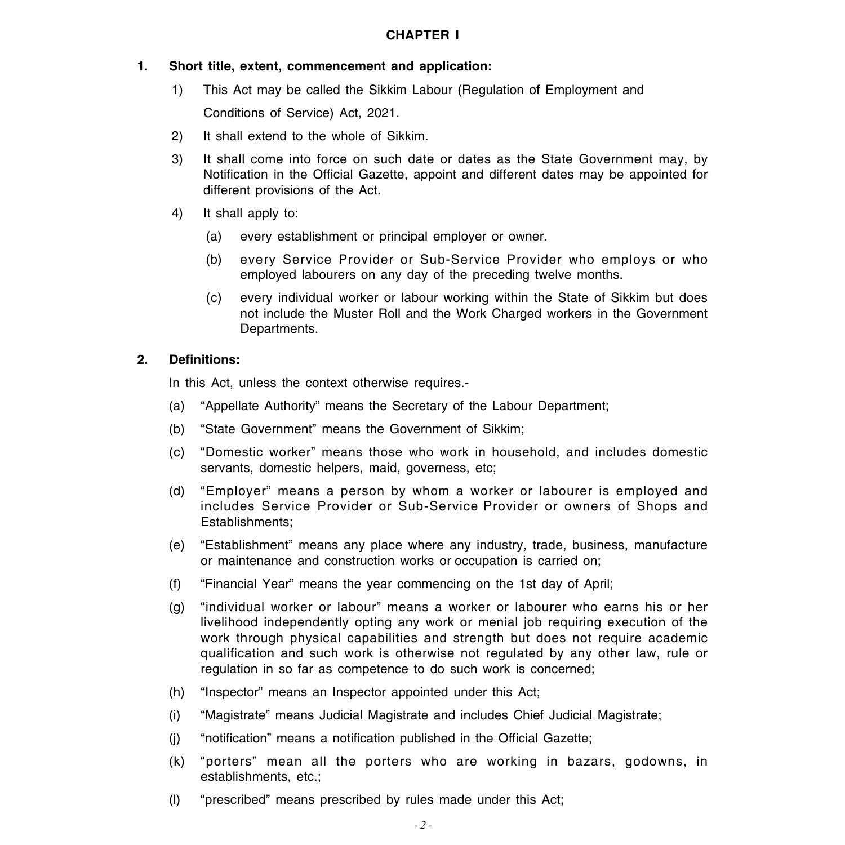### **CHAPTER I**

### **1. Short title, extent, commencement and application:**

1) This Act may be called the Sikkim Labour (Regulation of Employment and

Conditions of Service) Act, 2021.

- 2) It shall extend to the whole of Sikkim.
- 3) It shall come into force on such date or dates as the State Government may, by Notification in the Official Gazette, appoint and different dates may be appointed for different provisions of the Act.
- 4) It shall apply to:
	- (a) every establishment or principal employer or owner.
	- (b) every Service Provider or Sub-Service Provider who employs or who employed labourers on any day of the preceding twelve months.
	- (c) every individual worker or labour working within the State of Sikkim but does not include the Muster Roll and the Work Charged workers in the Government Departments.

### **2. Definitions:**

In this Act, unless the context otherwise requires.-

- (a) "Appellate Authority" means the Secretary of the Labour Department;
- (b) "State Government" means the Government of Sikkim;
- (c) "Domestic worker" means those who work in household, and includes domestic servants, domestic helpers, maid, governess, etc;
- (d) "Employer" means a person by whom a worker or labourer is employed and includes Service Provider or Sub-Service Provider or owners of Shops and Establishments;
- (e) "Establishment" means any place where any industry, trade, business, manufacture or maintenance and construction works or occupation is carried on;
- (f) "Financial Year" means the year commencing on the 1st day of April;
- (g) "individual worker or labour" means a worker or labourer who earns his or her livelihood independently opting any work or menial job requiring execution of the work through physical capabilities and strength but does not require academic qualification and such work is otherwise not regulated by any other law, rule or regulation in so far as competence to do such work is concerned;
- (h) "Inspector" means an Inspector appointed under this Act;
- (i) "Magistrate" means Judicial Magistrate and includes Chief Judicial Magistrate;
- (j) "notification" means a notification published in the Official Gazette;
- (k) "porters" mean all the porters who are working in bazars, godowns, in establishments, etc.;
- (l) "prescribed" means prescribed by rules made under this Act;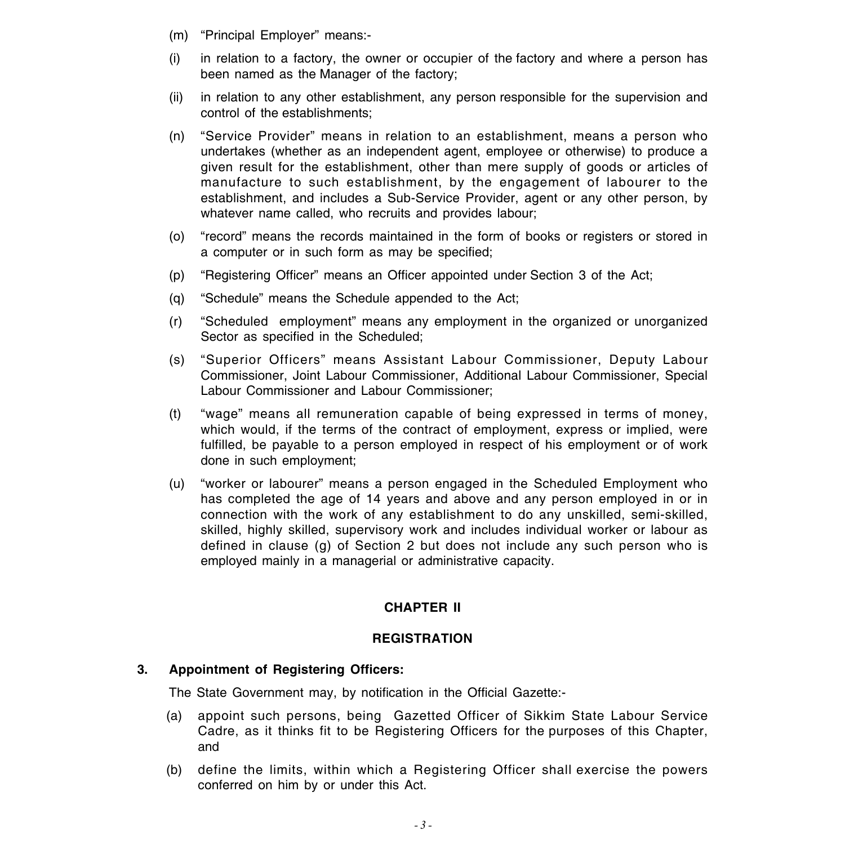- (m) "Principal Employer" means:-
- (i) in relation to a factory, the owner or occupier of the factory and where a person has been named as the Manager of the factory;
- (ii) in relation to any other establishment, any person responsible for the supervision and control of the establishments;
- (n) "Service Provider" means in relation to an establishment, means a person who undertakes (whether as an independent agent, employee or otherwise) to produce a given result for the establishment, other than mere supply of goods or articles of manufacture to such establishment, by the engagement of labourer to the establishment, and includes a Sub-Service Provider, agent or any other person, by whatever name called, who recruits and provides labour;
- (o) "record" means the records maintained in the form of books or registers or stored in a computer or in such form as may be specified;
- (p) "Registering Officer" means an Officer appointed under Section 3 of the Act;
- (q) "Schedule" means the Schedule appended to the Act;
- (r) "Scheduled employment" means any employment in the organized or unorganized Sector as specified in the Scheduled;
- (s) "Superior Officers" means Assistant Labour Commissioner, Deputy Labour Commissioner, Joint Labour Commissioner, Additional Labour Commissioner, Special Labour Commissioner and Labour Commissioner;
- (t) "wage" means all remuneration capable of being expressed in terms of money, which would, if the terms of the contract of employment, express or implied, were fulfilled, be payable to a person employed in respect of his employment or of work done in such employment;
- (u) "worker or labourer" means a person engaged in the Scheduled Employment who has completed the age of 14 years and above and any person employed in or in connection with the work of any establishment to do any unskilled, semi-skilled, skilled, highly skilled, supervisory work and includes individual worker or labour as defined in clause (g) of Section 2 but does not include any such person who is employed mainly in a managerial or administrative capacity.

### **CHAPTER II**

#### **REGISTRATION**

### **3. Appointment of Registering Officers:**

The State Government may, by notification in the Official Gazette:-

- (a) appoint such persons, being Gazetted Officer of Sikkim State Labour Service Cadre, as it thinks fit to be Registering Officers for the purposes of this Chapter, and
- (b) define the limits, within which a Registering Officer shall exercise the powers conferred on him by or under this Act.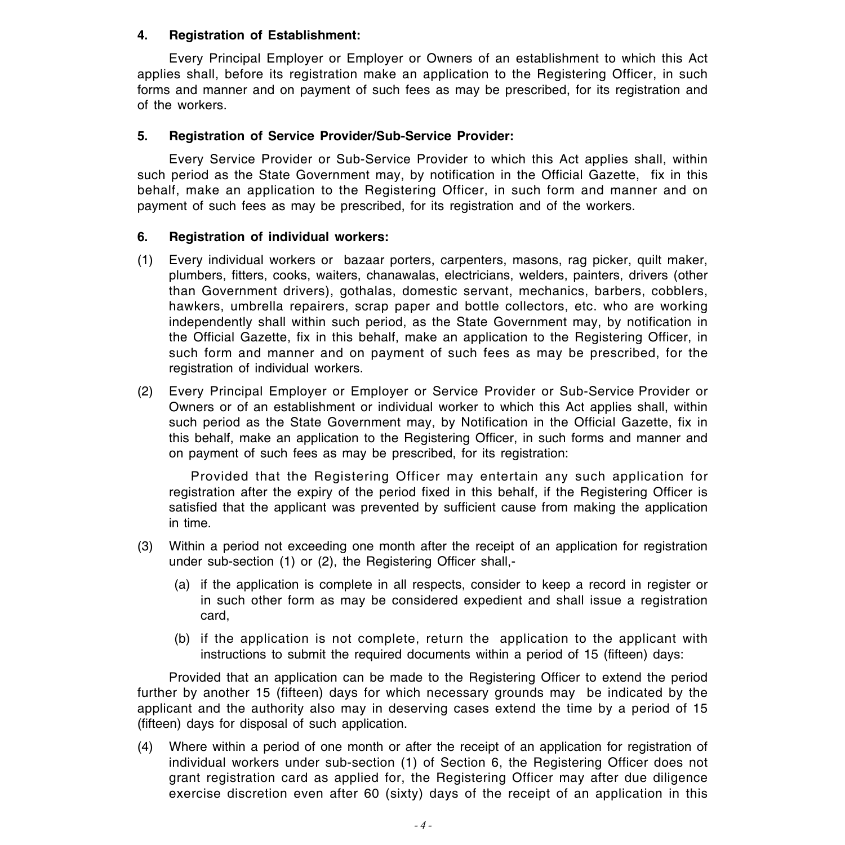### **4. Registration of Establishment:**

Every Principal Employer or Employer or Owners of an establishment to which this Act applies shall, before its registration make an application to the Registering Officer, in such forms and manner and on payment of such fees as may be prescribed, for its registration and of the workers.

### **5. Registration of Service Provider/Sub-Service Provider:**

Every Service Provider or Sub-Service Provider to which this Act applies shall, within such period as the State Government may, by notification in the Official Gazette, fix in this behalf, make an application to the Registering Officer, in such form and manner and on payment of such fees as may be prescribed, for its registration and of the workers.

### **6. Registration of individual workers:**

- (1) Every individual workers or bazaar porters, carpenters, masons, rag picker, quilt maker, plumbers, fitters, cooks, waiters, chanawalas, electricians, welders, painters, drivers (other than Government drivers), gothalas, domestic servant, mechanics, barbers, cobblers, hawkers, umbrella repairers, scrap paper and bottle collectors, etc. who are working independently shall within such period, as the State Government may, by notification in the Official Gazette, fix in this behalf, make an application to the Registering Officer, in such form and manner and on payment of such fees as may be prescribed, for the registration of individual workers.
- (2) Every Principal Employer or Employer or Service Provider or Sub-Service Provider or Owners or of an establishment or individual worker to which this Act applies shall, within such period as the State Government may, by Notification in the Official Gazette, fix in this behalf, make an application to the Registering Officer, in such forms and manner and on payment of such fees as may be prescribed, for its registration:

Provided that the Registering Officer may entertain any such application for registration after the expiry of the period fixed in this behalf, if the Registering Officer is satisfied that the applicant was prevented by sufficient cause from making the application in time.

- (3) Within a period not exceeding one month after the receipt of an application for registration under sub-section (1) or (2), the Registering Officer shall,-
	- (a) if the application is complete in all respects, consider to keep a record in register or in such other form as may be considered expedient and shall issue a registration card,
	- (b) if the application is not complete, return the application to the applicant with instructions to submit the required documents within a period of 15 (fifteen) days:

Provided that an application can be made to the Registering Officer to extend the period further by another 15 (fifteen) days for which necessary grounds may be indicated by the applicant and the authority also may in deserving cases extend the time by a period of 15 (fifteen) days for disposal of such application.

(4) Where within a period of one month or after the receipt of an application for registration of individual workers under sub-section (1) of Section 6, the Registering Officer does not grant registration card as applied for, the Registering Officer may after due diligence exercise discretion even after 60 (sixty) days of the receipt of an application in this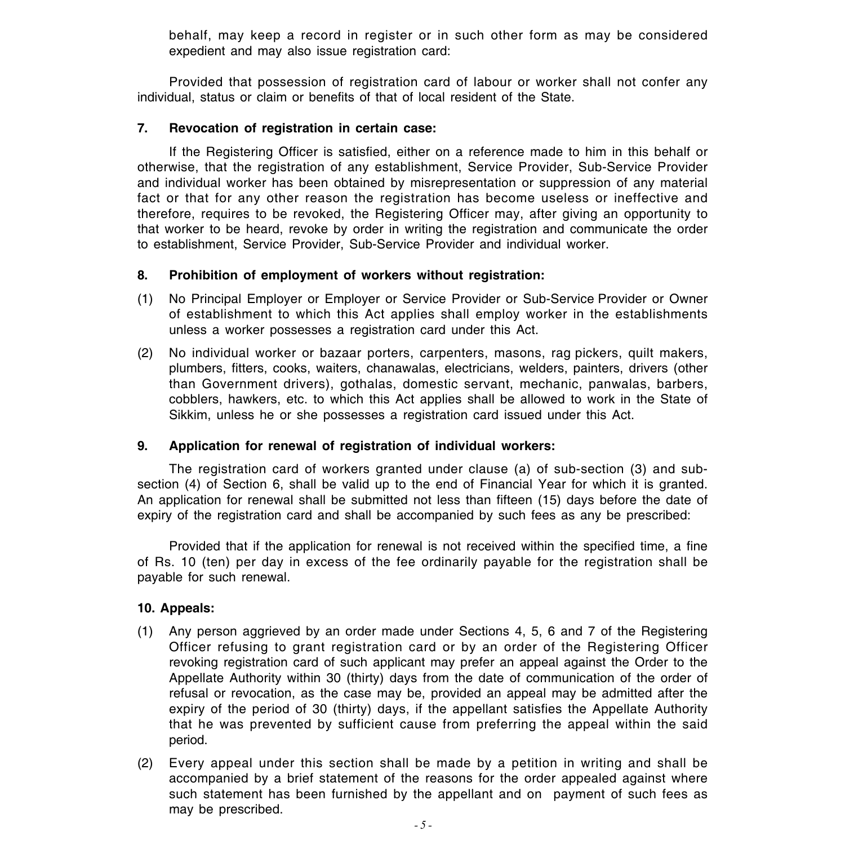behalf, may keep a record in register or in such other form as may be considered expedient and may also issue registration card:

Provided that possession of registration card of labour or worker shall not confer any individual, status or claim or benefits of that of local resident of the State.

### **7. Revocation of registration in certain case:**

If the Registering Officer is satisfied, either on a reference made to him in this behalf or otherwise, that the registration of any establishment, Service Provider, Sub-Service Provider and individual worker has been obtained by misrepresentation or suppression of any material fact or that for any other reason the registration has become useless or ineffective and therefore, requires to be revoked, the Registering Officer may, after giving an opportunity to that worker to be heard, revoke by order in writing the registration and communicate the order to establishment, Service Provider, Sub-Service Provider and individual worker.

### **8. Prohibition of employment of workers without registration:**

- (1) No Principal Employer or Employer or Service Provider or Sub-Service Provider or Owner of establishment to which this Act applies shall employ worker in the establishments unless a worker possesses a registration card under this Act.
- (2) No individual worker or bazaar porters, carpenters, masons, rag pickers, quilt makers, plumbers, fitters, cooks, waiters, chanawalas, electricians, welders, painters, drivers (other than Government drivers), gothalas, domestic servant, mechanic, panwalas, barbers, cobblers, hawkers, etc. to which this Act applies shall be allowed to work in the State of Sikkim, unless he or she possesses a registration card issued under this Act.

### **9. Application for renewal of registration of individual workers:**

The registration card of workers granted under clause (a) of sub-section (3) and subsection (4) of Section 6, shall be valid up to the end of Financial Year for which it is granted. An application for renewal shall be submitted not less than fifteen (15) days before the date of expiry of the registration card and shall be accompanied by such fees as any be prescribed:

Provided that if the application for renewal is not received within the specified time, a fine of Rs. 10 (ten) per day in excess of the fee ordinarily payable for the registration shall be payable for such renewal.

### **10. Appeals:**

- (1) Any person aggrieved by an order made under Sections 4, 5, 6 and 7 of the Registering Officer refusing to grant registration card or by an order of the Registering Officer revoking registration card of such applicant may prefer an appeal against the Order to the Appellate Authority within 30 (thirty) days from the date of communication of the order of refusal or revocation, as the case may be, provided an appeal may be admitted after the expiry of the period of 30 (thirty) days, if the appellant satisfies the Appellate Authority that he was prevented by sufficient cause from preferring the appeal within the said period.
- (2) Every appeal under this section shall be made by a petition in writing and shall be accompanied by a brief statement of the reasons for the order appealed against where such statement has been furnished by the appellant and on payment of such fees as may be prescribed.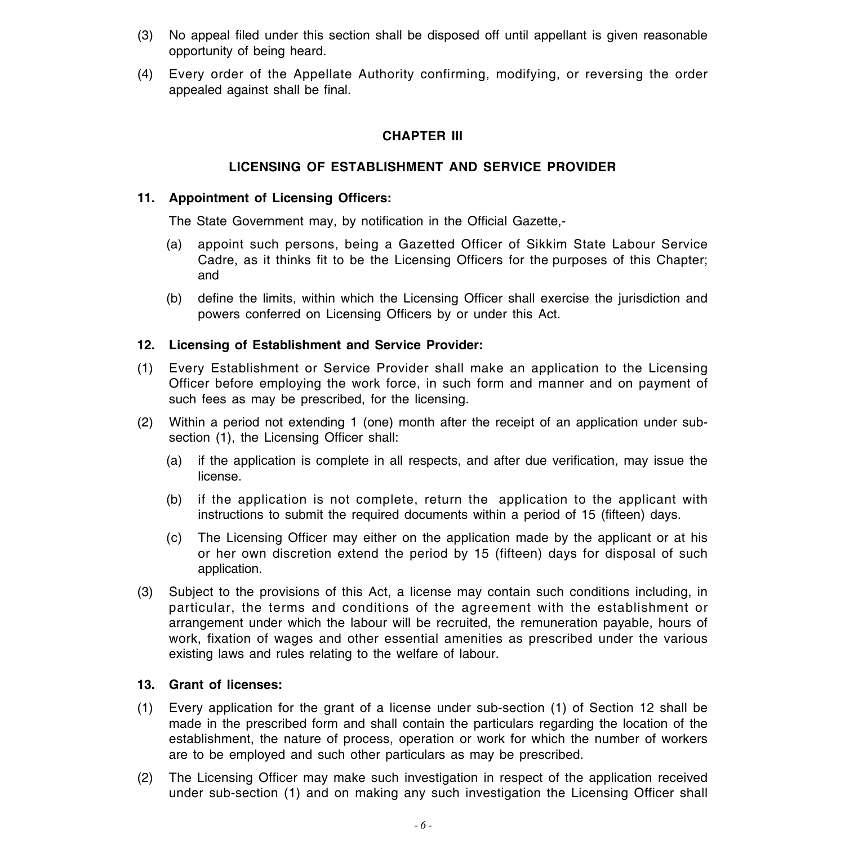- (3) No appeal filed under this section shall be disposed off until appellant is given reasonable opportunity of being heard.
- (4) Every order of the Appellate Authority confirming, modifying, or reversing the order appealed against shall be final.

# **CHAPTER III**

# **LICENSING OF ESTABLISHMENT AND SERVICE PROVIDER**

### **11. Appointment of Licensing Officers:**

The State Government may, by notification in the Official Gazette,-

- (a) appoint such persons, being a Gazetted Officer of Sikkim State Labour Service Cadre, as it thinks fit to be the Licensing Officers for the purposes of this Chapter; and
- (b) define the limits, within which the Licensing Officer shall exercise the jurisdiction and powers conferred on Licensing Officers by or under this Act.

### **12. Licensing of Establishment and Service Provider:**

- (1) Every Establishment or Service Provider shall make an application to the Licensing Officer before employing the work force, in such form and manner and on payment of such fees as may be prescribed, for the licensing.
- (2) Within a period not extending 1 (one) month after the receipt of an application under subsection (1), the Licensing Officer shall:
	- (a) if the application is complete in all respects, and after due verification, may issue the license.
	- (b) if the application is not complete, return the application to the applicant with instructions to submit the required documents within a period of 15 (fifteen) days.
	- (c) The Licensing Officer may either on the application made by the applicant or at his or her own discretion extend the period by 15 (fifteen) days for disposal of such application.
- (3) Subject to the provisions of this Act, a license may contain such conditions including, in particular, the terms and conditions of the agreement with the establishment or arrangement under which the labour will be recruited, the remuneration payable, hours of work, fixation of wages and other essential amenities as prescribed under the various existing laws and rules relating to the welfare of labour.

### **13. Grant of licenses:**

- (1) Every application for the grant of a license under sub-section (1) of Section 12 shall be made in the prescribed form and shall contain the particulars regarding the location of the establishment, the nature of process, operation or work for which the number of workers are to be employed and such other particulars as may be prescribed.
- (2) The Licensing Officer may make such investigation in respect of the application received under sub-section (1) and on making any such investigation the Licensing Officer shall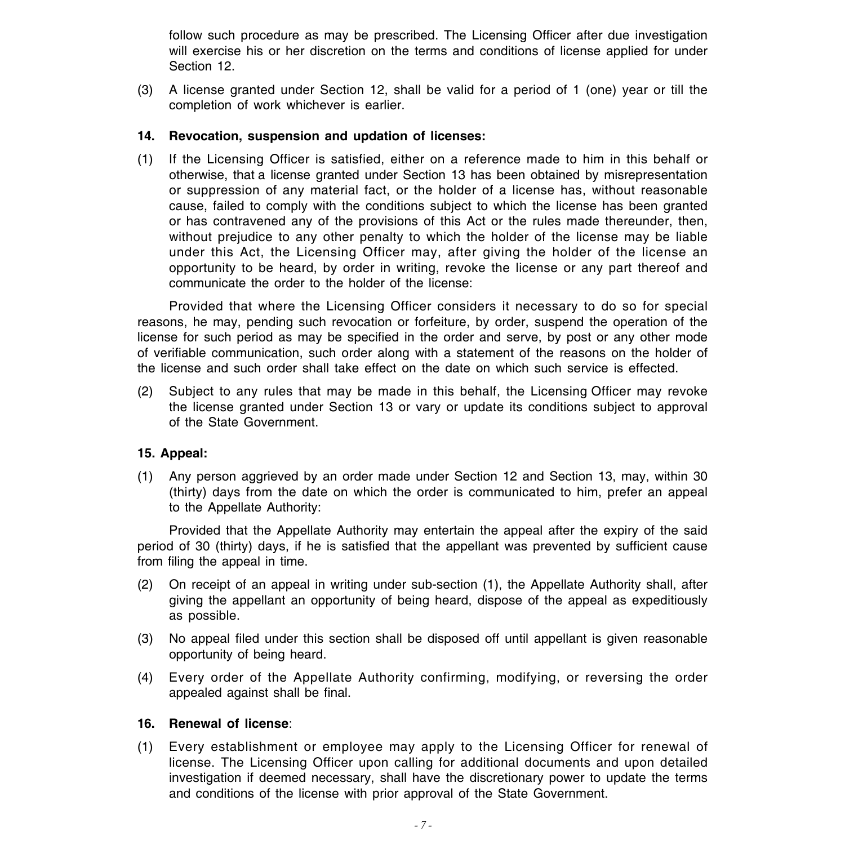follow such procedure as may be prescribed. The Licensing Officer after due investigation will exercise his or her discretion on the terms and conditions of license applied for under Section 12.

(3) A license granted under Section 12, shall be valid for a period of 1 (one) year or till the completion of work whichever is earlier.

### **14. Revocation, suspension and updation of licenses:**

(1) If the Licensing Officer is satisfied, either on a reference made to him in this behalf or otherwise, that a license granted under Section 13 has been obtained by misrepresentation or suppression of any material fact, or the holder of a license has, without reasonable cause, failed to comply with the conditions subject to which the license has been granted or has contravened any of the provisions of this Act or the rules made thereunder, then, without prejudice to any other penalty to which the holder of the license may be liable under this Act, the Licensing Officer may, after giving the holder of the license an opportunity to be heard, by order in writing, revoke the license or any part thereof and communicate the order to the holder of the license:

Provided that where the Licensing Officer considers it necessary to do so for special reasons, he may, pending such revocation or forfeiture, by order, suspend the operation of the license for such period as may be specified in the order and serve, by post or any other mode of verifiable communication, such order along with a statement of the reasons on the holder of the license and such order shall take effect on the date on which such service is effected.

(2) Subject to any rules that may be made in this behalf, the Licensing Officer may revoke the license granted under Section 13 or vary or update its conditions subject to approval of the State Government.

### **15. Appeal:**

(1) Any person aggrieved by an order made under Section 12 and Section 13, may, within 30 (thirty) days from the date on which the order is communicated to him, prefer an appeal to the Appellate Authority:

Provided that the Appellate Authority may entertain the appeal after the expiry of the said period of 30 (thirty) days, if he is satisfied that the appellant was prevented by sufficient cause from filing the appeal in time.

- (2) On receipt of an appeal in writing under sub-section (1), the Appellate Authority shall, after giving the appellant an opportunity of being heard, dispose of the appeal as expeditiously as possible.
- (3) No appeal filed under this section shall be disposed off until appellant is given reasonable opportunity of being heard.
- (4) Every order of the Appellate Authority confirming, modifying, or reversing the order appealed against shall be final.

### **16. Renewal of license**:

(1) Every establishment or employee may apply to the Licensing Officer for renewal of license. The Licensing Officer upon calling for additional documents and upon detailed investigation if deemed necessary, shall have the discretionary power to update the terms and conditions of the license with prior approval of the State Government.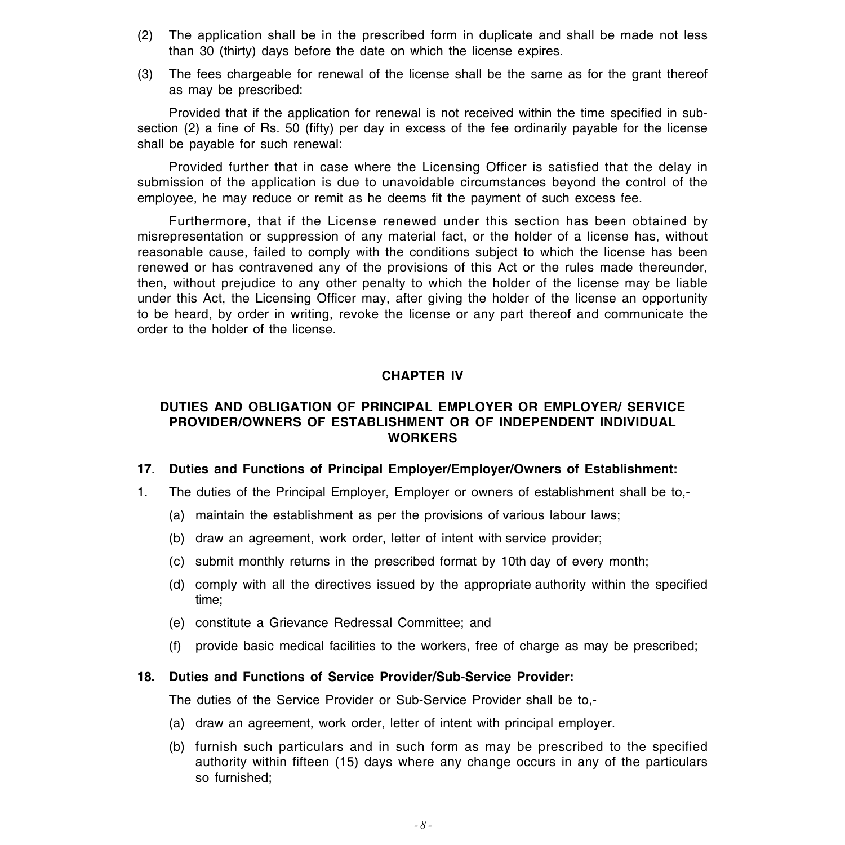- (2) The application shall be in the prescribed form in duplicate and shall be made not less than 30 (thirty) days before the date on which the license expires.
- (3) The fees chargeable for renewal of the license shall be the same as for the grant thereof as may be prescribed:

Provided that if the application for renewal is not received within the time specified in subsection (2) a fine of Rs. 50 (fifty) per day in excess of the fee ordinarily payable for the license shall be payable for such renewal:

Provided further that in case where the Licensing Officer is satisfied that the delay in submission of the application is due to unavoidable circumstances beyond the control of the employee, he may reduce or remit as he deems fit the payment of such excess fee.

Furthermore, that if the License renewed under this section has been obtained by misrepresentation or suppression of any material fact, or the holder of a license has, without reasonable cause, failed to comply with the conditions subject to which the license has been renewed or has contravened any of the provisions of this Act or the rules made thereunder, then, without prejudice to any other penalty to which the holder of the license may be liable under this Act, the Licensing Officer may, after giving the holder of the license an opportunity to be heard, by order in writing, revoke the license or any part thereof and communicate the order to the holder of the license.

### **CHAPTER IV**

### **DUTIES AND OBLIGATION OF PRINCIPAL EMPLOYER OR EMPLOYER/ SERVICE PROVIDER/OWNERS OF ESTABLISHMENT OR OF INDEPENDENT INDIVIDUAL WORKERS**

#### **17**. **Duties and Functions of Principal Employer/Employer/Owners of Establishment:**

- 1. The duties of the Principal Employer, Employer or owners of establishment shall be to,-
	- (a) maintain the establishment as per the provisions of various labour laws;
	- (b) draw an agreement, work order, letter of intent with service provider;
	- (c) submit monthly returns in the prescribed format by 10th day of every month;
	- (d) comply with all the directives issued by the appropriate authority within the specified time;
	- (e) constitute a Grievance Redressal Committee; and
	- (f) provide basic medical facilities to the workers, free of charge as may be prescribed;

#### **18. Duties and Functions of Service Provider/Sub-Service Provider:**

The duties of the Service Provider or Sub-Service Provider shall be to,-

- (a) draw an agreement, work order, letter of intent with principal employer.
- (b) furnish such particulars and in such form as may be prescribed to the specified authority within fifteen (15) days where any change occurs in any of the particulars so furnished;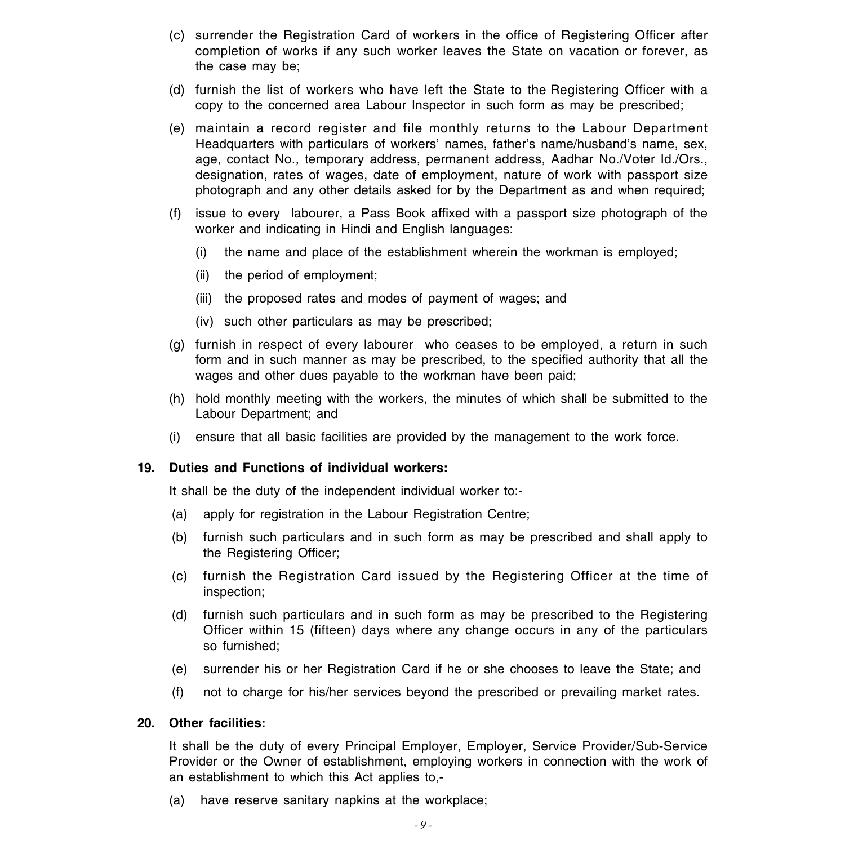- (c) surrender the Registration Card of workers in the office of Registering Officer after completion of works if any such worker leaves the State on vacation or forever, as the case may be;
- (d) furnish the list of workers who have left the State to the Registering Officer with a copy to the concerned area Labour Inspector in such form as may be prescribed;
- (e) maintain a record register and file monthly returns to the Labour Department Headquarters with particulars of workers' names, father's name/husband's name, sex, age, contact No., temporary address, permanent address, Aadhar No./Voter Id./Ors., designation, rates of wages, date of employment, nature of work with passport size photograph and any other details asked for by the Department as and when required;
- (f) issue to every labourer, a Pass Book affixed with a passport size photograph of the worker and indicating in Hindi and English languages:
	- (i) the name and place of the establishment wherein the workman is employed;
	- (ii) the period of employment;
	- (iii) the proposed rates and modes of payment of wages; and
	- (iv) such other particulars as may be prescribed;
- (g) furnish in respect of every labourer who ceases to be employed, a return in such form and in such manner as may be prescribed, to the specified authority that all the wages and other dues payable to the workman have been paid;
- (h) hold monthly meeting with the workers, the minutes of which shall be submitted to the Labour Department; and
- (i) ensure that all basic facilities are provided by the management to the work force.

#### **19. Duties and Functions of individual workers:**

It shall be the duty of the independent individual worker to:-

- (a) apply for registration in the Labour Registration Centre;
- (b) furnish such particulars and in such form as may be prescribed and shall apply to the Registering Officer;
- (c) furnish the Registration Card issued by the Registering Officer at the time of inspection;
- (d) furnish such particulars and in such form as may be prescribed to the Registering Officer within 15 (fifteen) days where any change occurs in any of the particulars so furnished;
- (e) surrender his or her Registration Card if he or she chooses to leave the State; and
- (f) not to charge for his/her services beyond the prescribed or prevailing market rates.

#### **20. Other facilities:**

It shall be the duty of every Principal Employer, Employer, Service Provider/Sub-Service Provider or the Owner of establishment, employing workers in connection with the work of an establishment to which this Act applies to,-

(a) have reserve sanitary napkins at the workplace;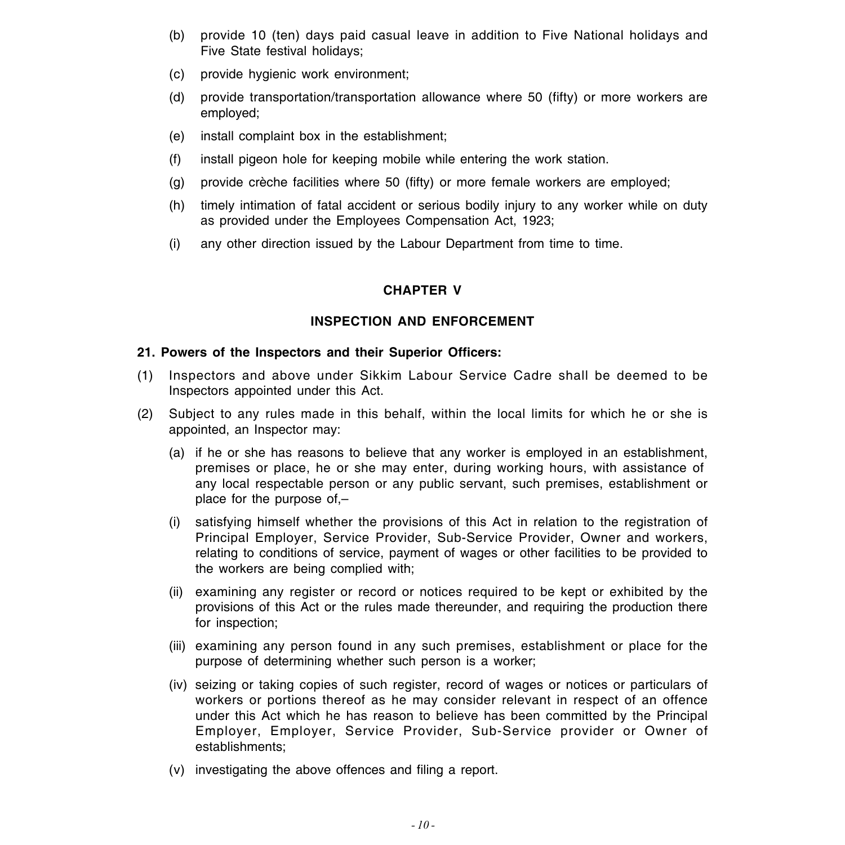- (b) provide 10 (ten) days paid casual leave in addition to Five National holidays and Five State festival holidays;
- (c) provide hygienic work environment;
- (d) provide transportation/transportation allowance where 50 (fifty) or more workers are employed;
- (e) install complaint box in the establishment;
- (f) install pigeon hole for keeping mobile while entering the work station.
- (g) provide crèche facilities where 50 (fifty) or more female workers are employed;
- (h) timely intimation of fatal accident or serious bodily injury to any worker while on duty as provided under the Employees Compensation Act, 1923;
- (i) any other direction issued by the Labour Department from time to time.

# **CHAPTER V**

### **INSPECTION AND ENFORCEMENT**

### **21. Powers of the Inspectors and their Superior Officers:**

- (1) Inspectors and above under Sikkim Labour Service Cadre shall be deemed to be Inspectors appointed under this Act.
- (2) Subject to any rules made in this behalf, within the local limits for which he or she is appointed, an Inspector may:
	- (a) if he or she has reasons to believe that any worker is employed in an establishment, premises or place, he or she may enter, during working hours, with assistance of any local respectable person or any public servant, such premises, establishment or place for the purpose of,–
	- (i) satisfying himself whether the provisions of this Act in relation to the registration of Principal Employer, Service Provider, Sub-Service Provider, Owner and workers, relating to conditions of service, payment of wages or other facilities to be provided to the workers are being complied with;
	- (ii) examining any register or record or notices required to be kept or exhibited by the provisions of this Act or the rules made thereunder, and requiring the production there for inspection;
	- (iii) examining any person found in any such premises, establishment or place for the purpose of determining whether such person is a worker;
	- (iv) seizing or taking copies of such register, record of wages or notices or particulars of workers or portions thereof as he may consider relevant in respect of an offence under this Act which he has reason to believe has been committed by the Principal Employer, Employer, Service Provider, Sub-Service provider or Owner of establishments;
	- (v) investigating the above offences and filing a report.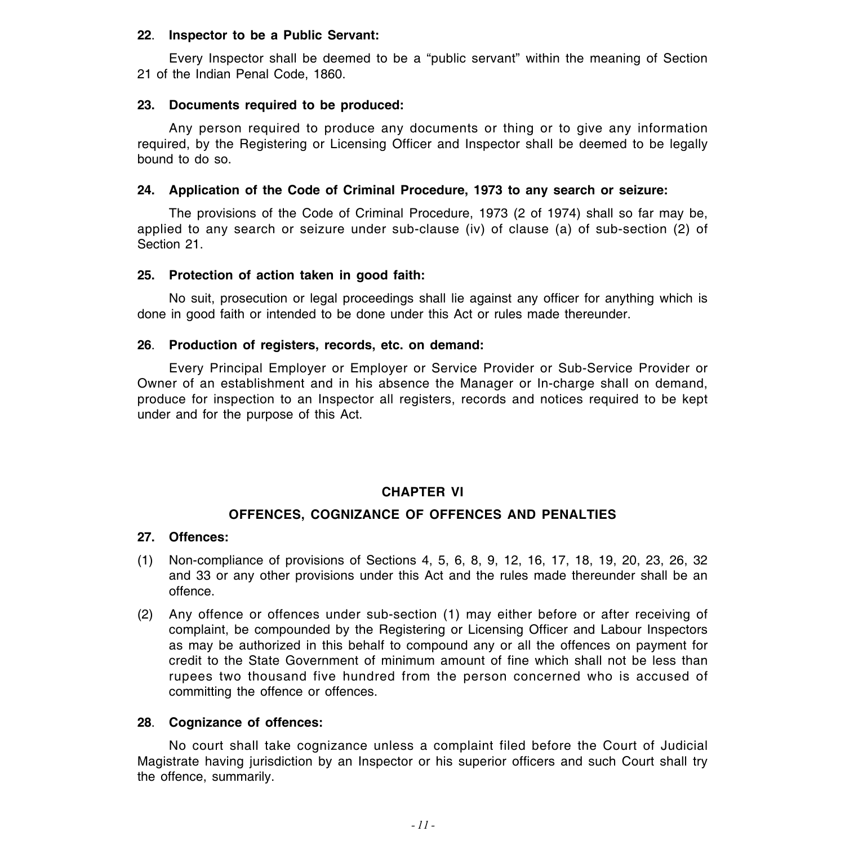#### **22**. **Inspector to be a Public Servant:**

Every Inspector shall be deemed to be a "public servant" within the meaning of Section 21 of the Indian Penal Code, 1860.

### **23. Documents required to be produced:**

Any person required to produce any documents or thing or to give any information required, by the Registering or Licensing Officer and Inspector shall be deemed to be legally bound to do so.

### **24. Application of the Code of Criminal Procedure, 1973 to any search or seizure:**

The provisions of the Code of Criminal Procedure, 1973 (2 of 1974) shall so far may be, applied to any search or seizure under sub-clause (iv) of clause (a) of sub-section (2) of Section 21.

### **25. Protection of action taken in good faith:**

No suit, prosecution or legal proceedings shall lie against any officer for anything which is done in good faith or intended to be done under this Act or rules made thereunder.

### **26**. **Production of registers, records, etc. on demand:**

Every Principal Employer or Employer or Service Provider or Sub-Service Provider or Owner of an establishment and in his absence the Manager or In-charge shall on demand, produce for inspection to an Inspector all registers, records and notices required to be kept under and for the purpose of this Act.

#### **CHAPTER VI**

### **OFFENCES, COGNIZANCE OF OFFENCES AND PENALTIES**

#### **27. Offences:**

- (1) Non-compliance of provisions of Sections 4, 5, 6, 8, 9, 12, 16, 17, 18, 19, 20, 23, 26, 32 and 33 or any other provisions under this Act and the rules made thereunder shall be an offence.
- (2) Any offence or offences under sub-section (1) may either before or after receiving of complaint, be compounded by the Registering or Licensing Officer and Labour Inspectors as may be authorized in this behalf to compound any or all the offences on payment for credit to the State Government of minimum amount of fine which shall not be less than rupees two thousand five hundred from the person concerned who is accused of committing the offence or offences.

### **28**. **Cognizance of offences:**

No court shall take cognizance unless a complaint filed before the Court of Judicial Magistrate having jurisdiction by an Inspector or his superior officers and such Court shall try the offence, summarily.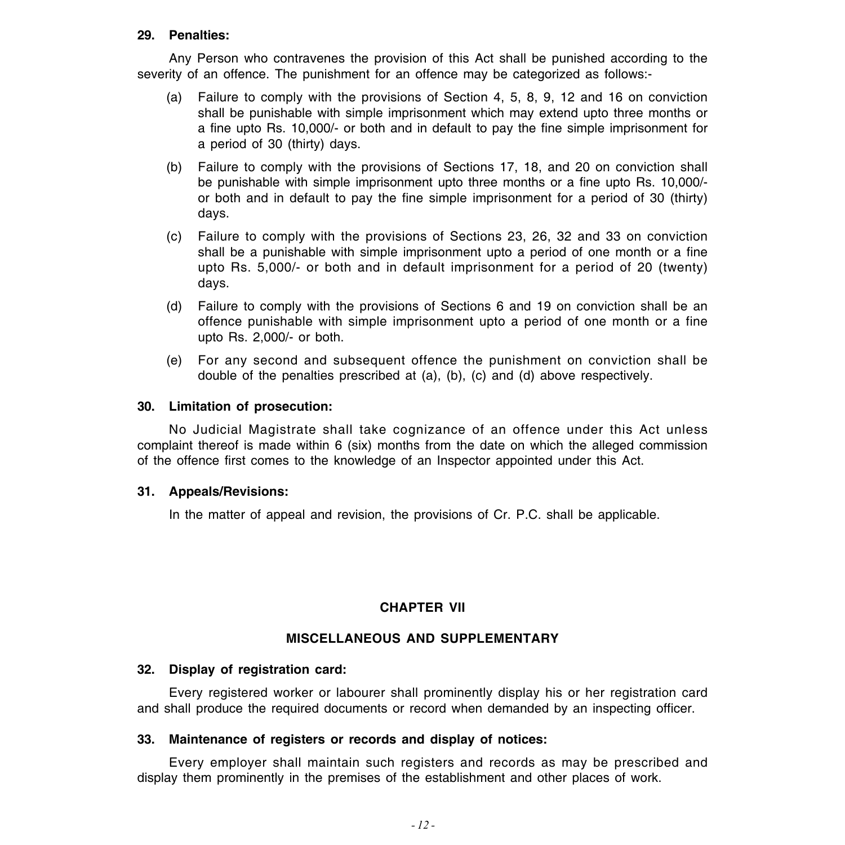#### **29. Penalties:**

Any Person who contravenes the provision of this Act shall be punished according to the severity of an offence. The punishment for an offence may be categorized as follows:-

- (a) Failure to comply with the provisions of Section 4, 5, 8, 9, 12 and 16 on conviction shall be punishable with simple imprisonment which may extend upto three months or a fine upto Rs. 10,000/- or both and in default to pay the fine simple imprisonment for a period of 30 (thirty) days.
- (b) Failure to comply with the provisions of Sections 17, 18, and 20 on conviction shall be punishable with simple imprisonment upto three months or a fine upto Rs. 10,000/ or both and in default to pay the fine simple imprisonment for a period of 30 (thirty) days.
- (c) Failure to comply with the provisions of Sections 23, 26, 32 and 33 on conviction shall be a punishable with simple imprisonment upto a period of one month or a fine upto Rs. 5,000/- or both and in default imprisonment for a period of 20 (twenty) days.
- (d) Failure to comply with the provisions of Sections 6 and 19 on conviction shall be an offence punishable with simple imprisonment upto a period of one month or a fine upto Rs. 2,000/- or both.
- (e) For any second and subsequent offence the punishment on conviction shall be double of the penalties prescribed at (a), (b), (c) and (d) above respectively.

### **30. Limitation of prosecution:**

No Judicial Magistrate shall take cognizance of an offence under this Act unless complaint thereof is made within 6 (six) months from the date on which the alleged commission of the offence first comes to the knowledge of an Inspector appointed under this Act.

### **31. Appeals/Revisions:**

In the matter of appeal and revision, the provisions of Cr. P.C. shall be applicable.

### **CHAPTER VII**

### **MISCELLANEOUS AND SUPPLEMENTARY**

### **32. Display of registration card:**

Every registered worker or labourer shall prominently display his or her registration card and shall produce the required documents or record when demanded by an inspecting officer.

### **33. Maintenance of registers or records and display of notices:**

Every employer shall maintain such registers and records as may be prescribed and display them prominently in the premises of the establishment and other places of work.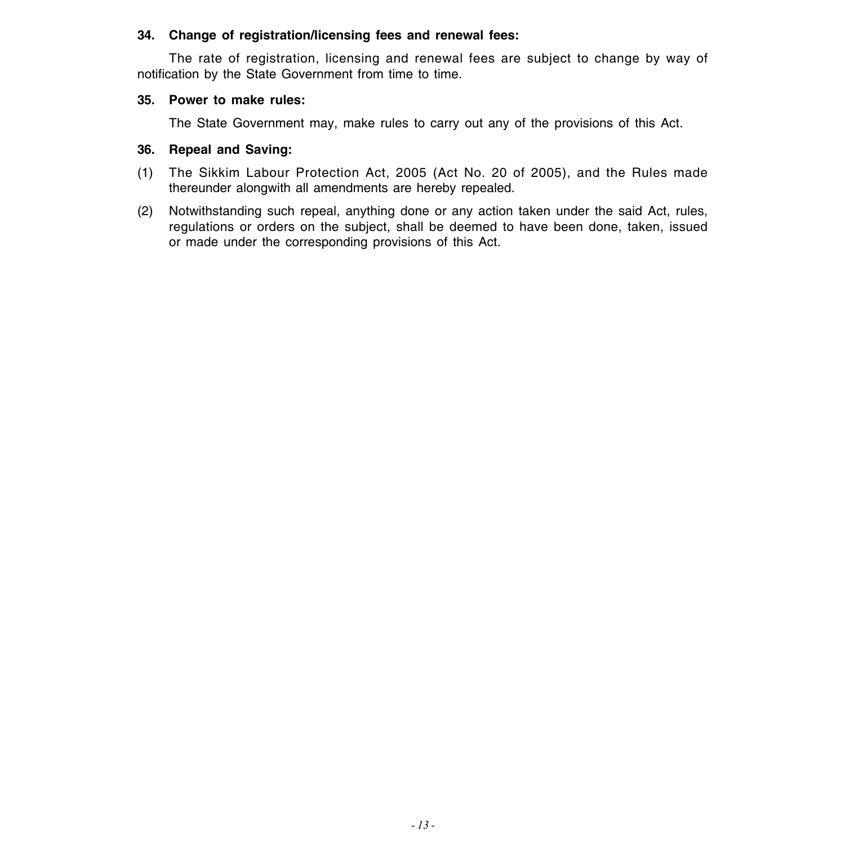### **34. Change of registration/licensing fees and renewal fees:**

The rate of registration, licensing and renewal fees are subject to change by way of notification by the State Government from time to time.

### **35. Power to make rules:**

The State Government may, make rules to carry out any of the provisions of this Act.

### **36. Repeal and Saving:**

- (1) The Sikkim Labour Protection Act, 2005 (Act No. 20 of 2005), and the Rules made thereunder alongwith all amendments are hereby repealed.
- (2) Notwithstanding such repeal, anything done or any action taken under the said Act, rules, regulations or orders on the subject, shall be deemed to have been done, taken, issued or made under the corresponding provisions of this Act.